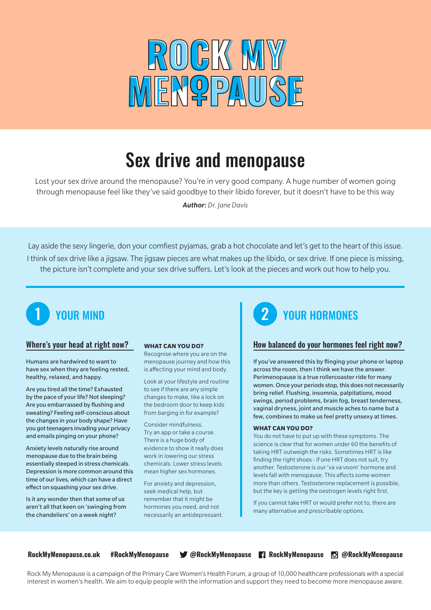

# Sex drive and menopause

Lost your sex drive around the menopause? You're in very good company. A huge number of women going through menopause feel like they've said goodbye to their libido forever, but it doesn't have to be this way

*Author: Dr. Jane Davis*

Lay aside the sexy lingerie, don your comfiest pyjamas, grab a hot chocolate and let's get to the heart of this issue. I think of sex drive like a jigsaw. The jigsaw pieces are what makes up the libido, or sex drive. If one piece is missing, the picture isn't complete and your sex drive suffers. Let's look at the pieces and work out how to help you.



## Where's your head at right now?

Humans are hardwired to want to have sex when they are feeling rested, healthy, relaxed, and happy.

Are you tired all the time? Exhausted by the pace of your life? Not sleeping? Are you embarrassed by flushing and sweating? Feeling self-conscious about the changes in your body shape? Have you got teenagers invading your privacy and emails pinging on your phone?

Anxiety levels naturally rise around menopause due to the brain being essentially steeped in stress chemicals. Depression is more common around this time of our lives, which can have a direct effect on squashing your sex drive.

Is it any wonder then that some of us aren't all that keen on 'swinging from the chandeliers' on a week night?

### **WHAT CAN YOU DO?**

Recognise where you are on the menopause journey and how this is affecting your mind and body.

Look at your lifestyle and routine to see if there are any simple changes to make, like a lock on the bedroom door to keep kids from barging in for example?

Consider mindfulness. Try an app or take a course. There is a huge body of evidence to show it really does work in lowering our stress chemicals. Lower stress levels mean higher sex hormones.

For anxiety and depression, seek medical help, but remember that it might be hormones you need, and not necessarily an antidepressant.

## 1 YOUR MIND 2 YOUR HORMONES

## How balanced do your hormones feel right now?

If you've answered this by flinging your phone or laptop across the room, then I think we have the answer. Perimenopause is a true rollercoaster ride for many women. Once your periods stop, this does not necessarily bring relief. Flushing, insomnia, palpitations, mood swings, period problems, brain fog, breast tenderness, vaginal dryness, joint and muscle aches to name but a few, combines to make us feel pretty unsexy at times.

### **WHAT CAN YOU DO?**

You do not have to put up with these symptoms. The science is clear that for women under 60 the benefits of taking HRT outweigh the risks. Sometimes HRT is like finding the right shoes - if one HRT does not suit, try another. Testosterone is our 'va va voom' hormone and levels fall with menopause. This affects some women more than others. Testosterone replacement is possible, but the key is getting the oestrogen levels right first.

If you cannot take HRT or would prefer not to, there are many alternative and prescribable options.

**RockMyMenopause.co.uk #RockMyMenopause @RockMyMenopause RockMyMenopause @RockMyMenopause**

Rock My Menopause is a campaign of the Primary Care Women's Health Forum, a group of 10,000 healthcare professionals with a special interest in women's health. We aim to equip people with the information and support they need to become more menopause aware.